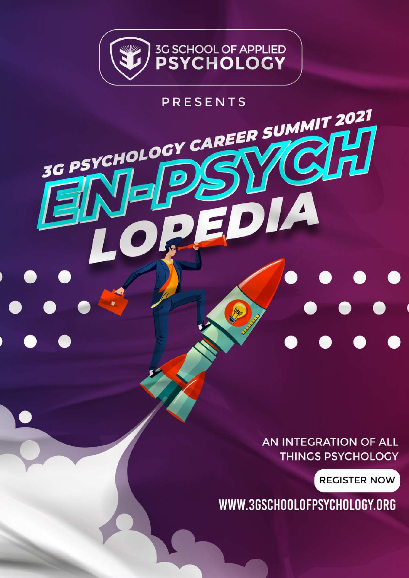

### **PRESENTS**

3G PSYCHOLOGY CAREER

AN INTEGRATION OF ALL **THINGS PSYCHOLOGY** 

SUMMIT 2021

**REGISTER NOW** 

WWW.3GSCHOOLOFPSYCHOLOGY.ORG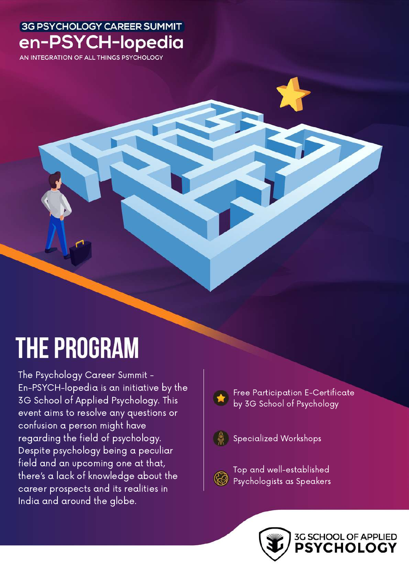AN INTEGRATION OF ALL THINGS PSYCHOLOGY

## **THE PROGRAM**

The Psychology Career Summit - En-PSYCH-lopedia is an initiative by the 3G School of Applied Psychology. This event aims to resolve any questions or confusion a person might have regarding the field of psychology. Despite psychology being a peculiar field and an upcoming one at that, there's a lack of knowledge about the career prospects and its realities in India and around the globe.



Free Participation E-Certificate by 3G School of Psychology



Specialized Workshops



Top and well-established Psychologists as Speakers

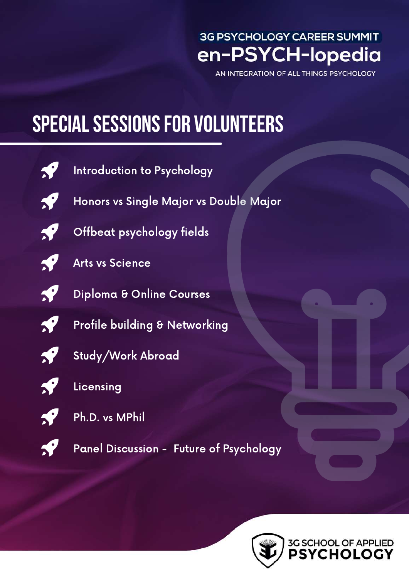AN INTEGRATION OF ALL THINGS PSYCHOLOGY

## **SPECIAL SESSIONS FOR VOLUNTEERS**



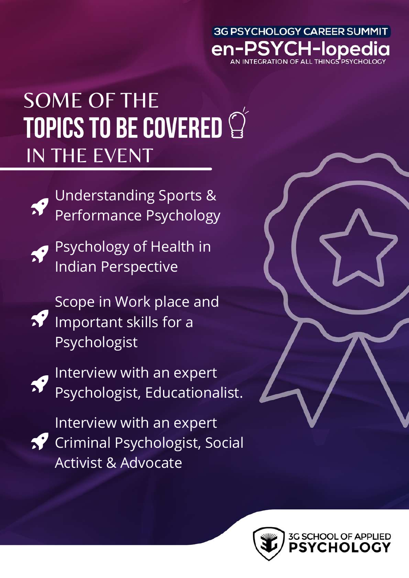# SOME OF THE TOPICS TO BE COVERED IN THE EVENT



Understanding Sports & Performance Psychology



Psychology of Health in Indian Perspective

Scope in Work place and  $\sqrt{2}$  Important skills for a Psychologist



**Particular Expert** Psychologist, Educationalist.



Interview with an expert **Criminal Psychologist, Social** Activist & Advocate



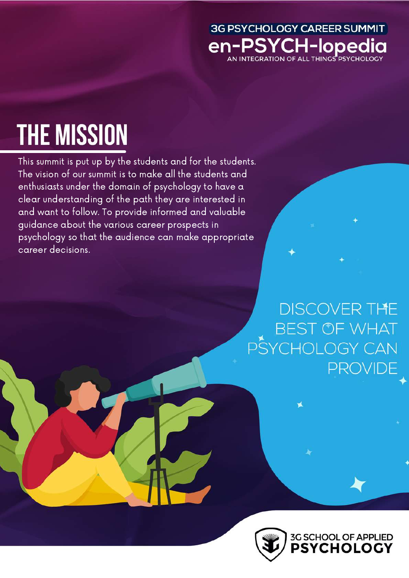#### 3G PSYCHOLOGY CAREER SUMMIT en-PSYCH-lopedia AN INTEGRATION OF ALL THINGS PSYCHOLOGY

# **THE MISSION**

This summit is put up by the students and for the students. The vision of our summit is to make all the students and enthusiasts under the domain of psychology to have a clear understanding of the path they are interested in and want to follow. To provide informed and valuable guidance about the various career prospects in psychology so that the audience can make appropriate career decisions.



**DISCOVER THE BEST OF WHAT** PSYCHOLOGY CAN **PROVIDE**